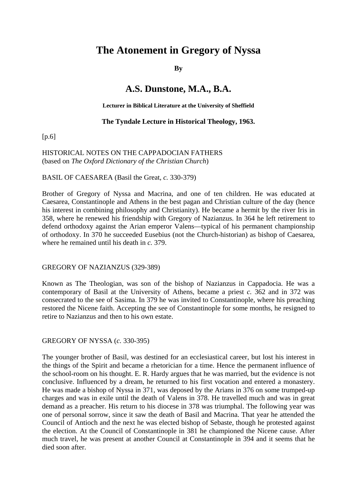# **The Atonement in Gregory of Nyssa**

#### **By**

## **A.S. Dunstone, M.A., B.A.**

#### **Lecturer in Biblical Literature at the University of Sheffield**

#### **The Tyndale Lecture in Historical Theology, 1963.**

[p.6]

### HISTORICAL NOTES ON THE CAPPADOCIAN FATHERS (based on *The Oxford Dictionary of the Christian Church*)

#### BASIL OF CAESAREA (Basil the Great, *c.* 330-379)

Brother of Gregory of Nyssa and Macrina, and one of ten children. He was educated at Caesarea, Constantinople and Athens in the best pagan and Christian culture of the day (hence his interest in combining philosophy and Christianity). He became a hermit by the river Iris in 358, where he renewed his friendship with Gregory of Nazianzus. In 364 he left retirement to defend orthodoxy against the Arian emperor Valens—typical of his permanent championship of orthodoxy. In 370 he succeeded Eusebius (not the Church-historian) as bishop of Caesarea, where he remained until his death in *c.* 379.

#### GREGORY OF NAZIANZUS (329-389)

Known as The Theologian, was son of the bishop of Nazianzus in Cappadocia. He was a contemporary of Basil at the University of Athens, became a priest *c.* 362 and in 372 was consecrated to the see of Sasima. In 379 he was invited to Constantinople, where his preaching restored the Nicene faith. Accepting the see of Constantinople for some months, he resigned to retire to Nazianzus and then to his own estate.

#### GREGORY OF NYSSA (*c.* 330-395)

The younger brother of Basil, was destined for an ecclesiastical career, but lost his interest in the things of the Spirit and became a rhetorician for a time. Hence the permanent influence of the school-room on his thought. E. R. Hardy argues that he was married, but the evidence is not conclusive. Influenced by a dream, he returned to his first vocation and entered a monastery. He was made a bishop of Nyssa in 371, was deposed by the Arians in 376 on some trumped-up charges and was in exile until the death of Valens in 378. He travelled much and was in great demand as a preacher. His return to his diocese in 378 was triumphal. The following year was one of personal sorrow, since it saw the death of Basil and Macrina. That year he attended the Council of Antioch and the next he was elected bishop of Sebaste, though he protested against the election. At the Council of Constantinople in 381 he championed the Nicene cause. After much travel, he was present at another Council at Constantinople in 394 and it seems that he died soon after.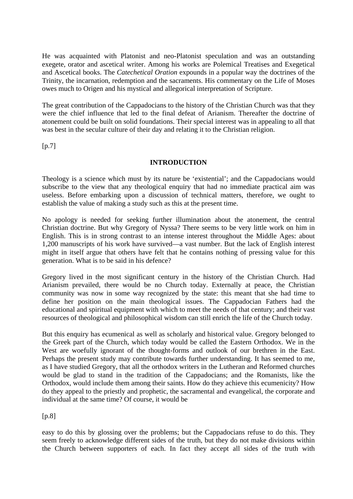He was acquainted with Platonist and neo-Platonist speculation and was an outstanding exegete, orator and ascetical writer. Among his works are Polemical Treatises and Exegetical and Ascetical books. The *Catechetical Oration* expounds in a popular way the doctrines of the Trinity, the incarnation, redemption and the sacraments. His commentary on the Life of Moses owes much to Origen and his mystical and allegorical interpretation of Scripture.

The great contribution of the Cappadocians to the history of the Christian Church was that they were the chief influence that led to the final defeat of Arianism. Thereafter the doctrine of atonement could be built on solid foundations. Their special interest was in appealing to all that was best in the secular culture of their day and relating it to the Christian religion.

 $[p.7]$ 

## **INTRODUCTION**

Theology is a science which must by its nature be 'existential'; and the Cappadocians would subscribe to the view that any theological enquiry that had no immediate practical aim was useless. Before embarking upon a discussion of technical matters, therefore, we ought to establish the value of making a study such as this at the present time.

No apology is needed for seeking further illumination about the atonement, the central Christian doctrine. But why Gregory of Nyssa? There seems to be very little work on him in English. This is in strong contrast to an intense interest throughout the Middle Ages: about 1,200 manuscripts of his work have survived—a vast number. But the lack of English interest might in itself argue that others have felt that he contains nothing of pressing value for this generation. What is to be said in his defence?

Gregory lived in the most significant century in the history of the Christian Church. Had Arianism prevailed, there would be no Church today. Externally at peace, the Christian community was now in some way recognized by the state: this meant that she had time to define her position on the main theological issues. The Cappadocian Fathers had the educational and spiritual equipment with which to meet the needs of that century; and their vast resources of theological and philosophical wisdom can still enrich the life of the Church today.

But this enquiry has ecumenical as well as scholarly and historical value. Gregory belonged to the Greek part of the Church, which today would be called the Eastern Orthodox. We in the West are woefully ignorant of the thought-forms and outlook of our brethren in the East. Perhaps the present study may contribute towards further understanding. It has seemed to me, as I have studied Gregory, that all the orthodox writers in the Lutheran and Reformed churches would be glad to stand in the tradition of the Cappadocians; and the Romanists, like the Orthodox, would include them among their saints. How do they achieve this ecumenicity? How do they appeal to the priestly and prophetic, the sacramental and evangelical, the corporate and individual at the same time? Of course, it would be

 $[p.8]$ 

easy to do this by glossing over the problems; but the Cappadocians refuse to do this. They seem freely to acknowledge different sides of the truth, but they do not make divisions within the Church between supporters of each. In fact they accept all sides of the truth with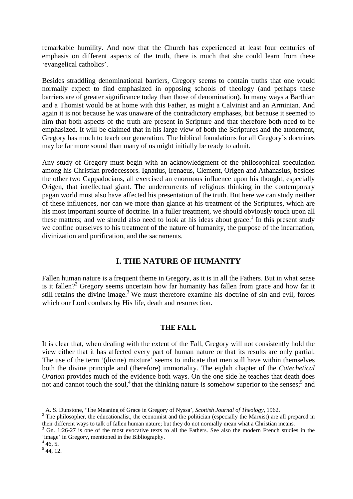remarkable humility. And now that the Church has experienced at least four centuries of emphasis on different aspects of the truth, there is much that she could learn from these 'evangelical catholics'.

Besides straddling denominational barriers, Gregory seems to contain truths that one would normally expect to find emphasized in opposing schools of theology (and perhaps these barriers are of greater significance today than those of denomination). In many ways a Barthian and a Thomist would be at home with this Father, as might a Calvinist and an Arminian. And again it is not because he was unaware of the contradictory emphases, but because it seemed to him that both aspects of the truth are present in Scripture and that therefore both need to be emphasized. It will be claimed that in his large view of both the Scriptures and the atonement, Gregory has much to teach our generation. The biblical foundations for all Gregory's doctrines may be far more sound than many of us might initially be ready to admit.

Any study of Gregory must begin with an acknowledgment of the philosophical speculation among his Christian predecessors. Ignatius, Irenaeus, Clement, Origen and Athanasius, besides the other two Cappadocians, all exercised an enormous influence upon his thought, especially Origen, that intellectual giant. The undercurrents of religious thinking in the contemporary pagan world must also have affected his presentation of the truth. But here we can study neither of these influences, nor can we more than glance at his treatment of the Scriptures, which are his most important source of doctrine. In a fuller treatment, we should obviously touch upon all these matters; and we should also need to look at his ideas about grace.<sup>1</sup> In this present study we confine ourselves to his treatment of the nature of humanity, the purpose of the incarnation, divinization and purification, and the sacraments.

## **I. THE NATURE OF HUMANITY**

Fallen human nature is a frequent theme in Gregory, as it is in all the Fathers. But in what sense is it fallen?<sup>2</sup> Gregory seems uncertain how far humanity has fallen from grace and how far it still retains the divine image. $3$  We must therefore examine his doctrine of sin and evil, forces which our Lord combats by His life, death and resurrection.

#### **THE FALL**

It is clear that, when dealing with the extent of the Fall, Gregory will not consistently hold the view either that it has affected every part of human nature or that its results are only partial. The use of the term '(divine) mixture' seems to indicate that men still have within themselves both the divine principle and (therefore) immortality. The eighth chapter of the *Catechetical Oration* provides much of the evidence both ways. On the one side he teaches that death does not and cannot touch the soul,<sup>4</sup> that the thinking nature is somehow superior to the senses;<sup>5</sup> and

<sup>&</sup>lt;sup>1</sup> A. S. Dunstone, 'The Meaning of Grace in Gregory of Nyssa', *Scottish Journal of Theology*, 1962.

<sup>&</sup>lt;sup>2</sup> The philosopher, the educationalist, the economist and the politician (especially the Marxist) are all prepared in their different ways to talk of fallen human nature; but they do not normally mean what a Christian means.

<sup>&</sup>lt;sup>3</sup> Gn. 1:26-27 is one of the most evocative texts to all the Fathers. See also the modern French studies in the 'image' in Gregory, mentioned in the Bibliography.

 $446, 5.$ 

 $<sup>5</sup>$  44, 12.</sup>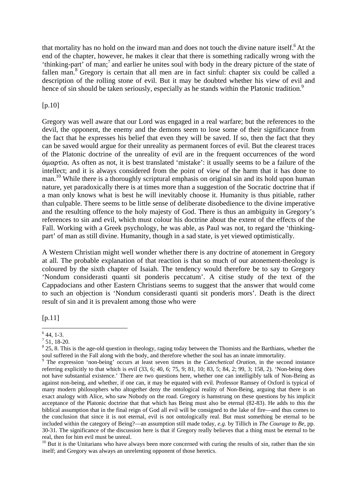that mortality has no hold on the inward man and does not touch the divine nature itself. $6$  At the end of the chapter, however, he makes it clear that there is something radically wrong with the 'thinking-part' of man;7 and earlier he unites soul with body in the dreary picture of the state of fallen man.<sup>8</sup> Gregory is certain that all men are in fact sinful: chapter six could be called a description of the rolling stone of evil. But it may be doubted whether his view of evil and hence of sin should be taken seriously, especially as he stands within the Platonic tradition.<sup>9</sup>

#### [p.10]

Gregory was well aware that our Lord was engaged in a real warfare; but the references to the devil, the opponent, the enemy and the demons seem to lose some of their significance from the fact that he expresses his belief that even they will be saved. If so, then the fact that they can be saved would argue for their unreality as permanent forces of evil. But the clearest traces of the Platonic doctrine of the unreality of evil are in the frequent occurrences of the word ¡mart…a*.* As often as not, it is best translated 'mistake': it usually seems to be a failure of the intellect; and it is always considered from the point of view of the harm that it has done to man.<sup>10</sup> While there is a thoroughly scriptural emphasis on original sin and its hold upon human nature, yet paradoxically there is at times more than a suggestion of the Socratic doctrine that if a man only knows what is best he will inevitably choose it. Humanity is thus pitiable, rather than culpable. There seems to be little sense of deliberate disobedience to the divine imperative and the resulting offence to the holy majesty of God. There is thus an ambiguity in Gregory's references to sin and evil, which must colour his doctrine about the extent of the effects of the Fall. Working with a Greek psychology, he was able, as Paul was not, to regard the 'thinkingpart' of man as still divine. Humanity, though in a sad state, is yet viewed optimistically.

A Western Christian might well wonder whether there is any doctrine of atonement in Gregory at all. The probable explanation of that reaction is that so much of our atonement-theology is coloured by the sixth chapter of Isaiah. The tendency would therefore be to say to Gregory 'Nondum considerasti quanti sit ponderis peccatum'. A citise study of the text of the Cappadocians and other Eastern Christians seems to suggest that the answer that would come to such an objection is 'Nondum considerasti quanti sit ponderis mors'. Death is the direct result of sin and it is prevalent among those who were

[p.11]

 $\overline{a}$  $<sup>6</sup>$  44, 1-3.</sup>

 $7$  51, 18-20.

 $8\,25$ , 8. This is the age-old question in theology, raging today between the Thomists and the Barthians, whether the soul suffered in the Fall along with the body, and therefore whether the soul has an innate immortality.

<sup>9</sup> The expression 'non-being' occurs at least seven times in the *Catechetical Oration,* in the second instance referring explicitly to that which is evil (33, 6; 40, 6; 75, 9; 81, 10; 83, 5; 84, 2; 99, 3; 158, 2). 'Non-being does not have substantial existence.' There are two questions here, whether one can intelligibly talk of Non-Being as against non-being, and whether, if one can, it may be equated with evil. Professor Ramsey of Oxford is typical of many modern philosophers who altogether deny the ontological reality of Non-Being, arguing that there is an exact analogy with Alice, who saw Nobody on the road. Gregory is hamstrung on these questions by his implicit acceptance of the Platonic doctrine that that which has Being must also be eternal (82-83). He adds to this the biblical assumption that in the final reign of God all evil will be consigned to the lake of fire—and thus comes to the conclusion that since it is not eternal, evil is not ontologically real. But must something be eternal to be included within the category of Being?—an assumption still made today, *e.g.* by Tillich in *The Courage to Be,* pp. 30-31. The significance of the discussion here is that if Gregory really believes that a thing must be eternal to be real, then for him evil must be unreal.

 $10$  But it is the Unitarians who have always been more concerned with curing the results of sin, rather than the sin itself; and Gregory was always an unrelenting opponent of those heretics.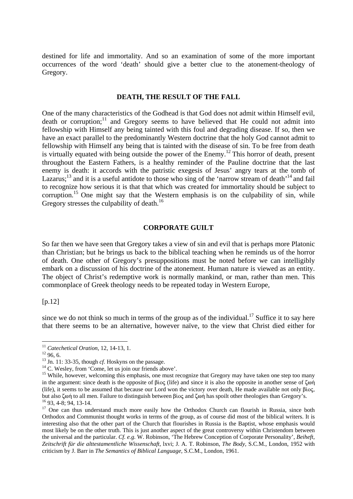destined for life and immortality. And so an examination of some of the more important occurrences of the word 'death' should give a better clue to the atonement-theology of Gregory.

#### **DEATH, THE RESULT OF THE FALL**

One of the many characteristics of the Godhead is that God does not admit within Himself evil, death or corruption;<sup>11</sup> and Gregory seems to have believed that He could not admit into fellowship with Himself any being tainted with this foul and degrading disease. If so, then we have an exact parallel to the predominantly Western doctrine that the holy God cannot admit to fellowship with Himself any being that is tainted with the disease of sin. To be free from death is virtually equated with being outside the power of the Enemy.<sup>12</sup> This horror of death, present throughout the Eastern Fathers, is a healthy reminder of the Pauline doctrine that the last enemy is death: it accords with the patristic exegesis of Jesus' angry tears at the tomb of Lazarus;<sup>13</sup> and it is a useful antidote to those who sing of the 'narrow stream of death'<sup>14</sup> and fail to recognize how serious it is that that which was created for immortality should be subject to corruption.<sup>15</sup> One might say that the Western emphasis is on the culpability of sin, while Gregory stresses the culpability of death.<sup>16</sup>

#### **CORPORATE GUILT**

So far then we have seen that Gregory takes a view of sin and evil that is perhaps more Platonic than Christian; but he brings us back to the biblical teaching when he reminds us of the horror of death. One other of Gregory's presuppositions must be noted before we can intelligibly embark on a discussion of his doctrine of the atonement. Human nature is viewed as an entity. The object of Christ's redemptive work is normally mankind, or man, rather than men. This commonplace of Greek theology needs to be repeated today in Western Europe,

[p.12]

since we do not think so much in terms of the group as of the individual.<sup>17</sup> Suffice it to say here that there seems to be an alternative, however naïve, to the view that Christ died either for

<sup>&</sup>lt;sup>11</sup> Catechetical Oration, 12, 14-13, 1.<br><sup>12</sup> 96, 6.

<sup>&</sup>lt;sup>13</sup> Jn. 11: 33-35, though *cf*. Hoskyns on the passage.  $^{14}$  C. Wesley, from 'Come, let us join our friends above'.

<sup>&</sup>lt;sup>15</sup> While, however, welcoming this emphasis, one must recognize that Gregory may have taken one step too many in the argument: since death is the opposite of  $\beta$  (iife) and since it is also the opposite in another sense of  $\zeta \omega_0$ (life), it seems to be assumed that because our Lord won the victory over death, He made available not only  $\beta$ ios, but also  $\zeta$  to all men. Failure to distinguish between  $\beta$ io $\zeta$  and  $\zeta$  on has spoilt other theologies than Gregory's. <sup>16</sup> 93, 4-8; 94, 13-14.

<sup>&</sup>lt;sup>17</sup> One can thus understand much more easily how the Orthodox Church can flourish in Russia, since both Orthodox and Communist thought works in terms of the group, as of course did most of the biblical writers. It is interesting also that the other part of the Church that flourishes in Russia is the Baptist, whose emphasis would most likely be on the other truth. This is just another aspect of the great controversy within Christendom between the universal and the particular. *Cf. e.g.* W. Robinson, 'The Hebrew Conception of Corporate Personality', *Beiheft, Zeitschrift für die alttestamentliche Wissenschaft,* lxvi; J. A. T. Robinson, *The Body,* S.C.M., London, 1952 with criticism by J. Barr in *The Semantics of Biblical Language,* S.C.M., London, 1961.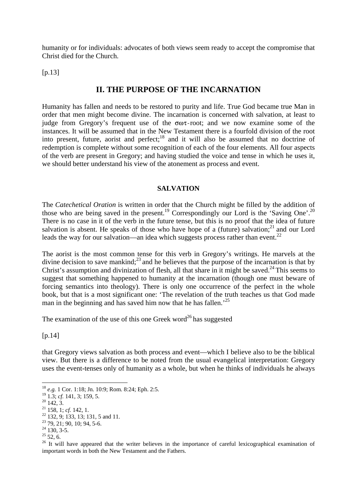humanity or for individuals: advocates of both views seem ready to accept the compromise that Christ died for the Church.

 $[p.13]$ 

## **II. THE PURPOSE OF THE INCARNATION**

Humanity has fallen and needs to be restored to purity and life. True God became true Man in order that men might become divine. The incarnation is concerned with salvation, at least to judge from Gregory's frequent use of the  $\sigma\omega\tau$ -root; and we now examine some of the instances. It will be assumed that in the New Testament there is a fourfold division of the root into present, future, aorist and perfect;<sup>18</sup> and it will also be assumed that no doctrine of redemption is complete without some recognition of each of the four elements. All four aspects of the verb are present in Gregory; and having studied the voice and tense in which he uses it, we should better understand his view of the atonement as process and event.

#### **SALVATION**

The *Catechetical Oration* is written in order that the Church might be filled by the addition of those who are being saved in the present.<sup>19</sup> Correspondingly our Lord is the 'Saving One'.<sup>20</sup> There is no case in it of the verb in the future tense, but this is no proof that the idea of future salvation is absent. He speaks of those who have hope of a (future) salvation; $^{21}$  and our Lord leads the way for our salvation—an idea which suggests process rather than event.<sup>22</sup>

The aorist is the most common tense for this verb in Gregory's writings. He marvels at the divine decision to save mankind; $^{23}$  and he believes that the purpose of the incarnation is that by Christ's assumption and divinization of flesh, all that share in it might be saved.<sup>24</sup> This seems to suggest that something happened to humanity at the incarnation (though one must beware of forcing semantics into theology). There is only one occurrence of the perfect in the whole book, but that is a most significant one: 'The revelation of the truth teaches us that God made man in the beginning and has saved him now that he has fallen.<sup>25</sup>

The examination of the use of this one Greek word<sup>26</sup> has suggested

[p.14]

that Gregory views salvation as both process and event—which I believe also to be the biblical view. But there is a difference to be noted from the usual evangelical interpretation: Gregory uses the event-tenses only of humanity as a whole, but when he thinks of individuals he always

<sup>18</sup> *e.g.* 1 Cor. 1:18; Jn. 10:9; Rom. 8:24; Eph. 2:5.

<sup>&</sup>lt;sup>19</sup> 1.3; *cf.* 141, 3; 159, 5.<br><sup>20</sup> 142, 3.<br><sup>21</sup> 158, 1; *cf.* 142, 1.

<sup>&</sup>lt;sup>22</sup> 132, 9; 133, 13; 131, 5 and 11.

<sup>23 79, 21; 90, 10; 94, 5-6.</sup>

 $24$  130, 3-5.

 $25$  52, 6.

<sup>&</sup>lt;sup>26</sup> It will have appeared that the writer believes in the importance of careful lexicographical examination of important words in both the New Testament and the Fathers.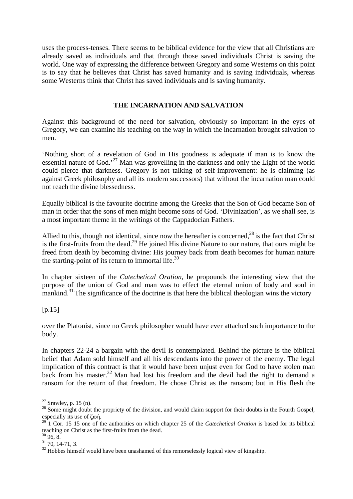uses the process-tenses. There seems to be biblical evidence for the view that all Christians are already saved as individuals and that through those saved individuals Christ is saving the world. One way of expressing the difference between Gregory and some Westerns on this point is to say that he believes that Christ has saved humanity and is saving individuals, whereas some Westerns think that Christ has saved individuals and is saving humanity.

### **THE INCARNATION AND SALVATION**

Against this background of the need for salvation, obviously so important in the eyes of Gregory, we can examine his teaching on the way in which the incarnation brought salvation to men.

'Nothing short of a revelation of God in His goodness is adequate if man is to know the essential nature of God.<sup>27</sup> Man was grovelling in the darkness and only the Light of the world could pierce that darkness. Gregory is not talking of self-improvement: he is claiming (as against Greek philosophy and all its modern successors) that without the incarnation man could not reach the divine blessedness.

Equally biblical is the favourite doctrine among the Greeks that the Son of God became Son of man in order that the sons of men might become sons of God. 'Divinization', as we shall see, is a most important theme in the writings of the Cappadocian Fathers.

Allied to this, though not identical, since now the hereafter is concerned.<sup>28</sup> is the fact that Christ is the first-fruits from the dead.<sup>29</sup> He joined His divine Nature to our nature, that ours might be freed from death by becoming divine: His journey back from death becomes for human nature the starting-point of its return to immortal life. $30$ 

In chapter sixteen of the *Catechetical Oration,* he propounds the interesting view that the purpose of the union of God and man was to effect the eternal union of body and soul in mankind.<sup>31</sup> The significance of the doctrine is that here the biblical theologian wins the victory

 $[p.15]$ 

 $\overline{a}$ 

over the Platonist, since no Greek philosopher would have ever attached such importance to the body.

In chapters 22-24 a bargain with the devil is contemplated. Behind the picture is the biblical belief that Adam sold himself and all his descendants into the power of the enemy. The legal implication of this contract is that it would have been unjust even for God to have stolen man back from his master.<sup>32</sup> Man had lost his freedom and the devil had the right to demand a ransom for the return of that freedom. He chose Christ as the ransom; but in His flesh the

 $27$  Srawley, p. 15 (n).

<sup>&</sup>lt;sup>28</sup> Some might doubt the propriety of the division, and would claim support for their doubts in the Fourth Gospel, especially its use of ζωή.

<sup>&</sup>lt;sup>29</sup> 1 Cor. 15 15 one of the authorities on which chapter 25 of the *Catechetical Oration* is based for its biblical teaching on Christ as the first-fruits from the dead.  $30\,96, 8.$ 

<sup>31 70, 14-71, 3.</sup>

 $32$  Hobbes himself would have been unashamed of this remorselessly logical view of kingship.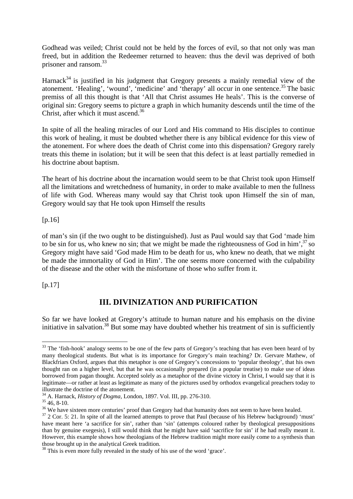Godhead was veiled; Christ could not be held by the forces of evil, so that not only was man freed, but in addition the Redeemer returned to heaven: thus the devil was deprived of both prisoner and ransom.<sup>33</sup>

Harnack $34$  is justified in his judgment that Gregory presents a mainly remedial view of the atonement. 'Healing', 'wound', 'medicine' and 'therapy' all occur in one sentence.<sup>35</sup> The basic premiss of all this thought is that 'All that Christ assumes He heals'. This is the converse of original sin: Gregory seems to picture a graph in which humanity descends until the time of the Christ, after which it must ascend.<sup>36</sup>

In spite of all the healing miracles of our Lord and His command to His disciples to continue this work of healing, it must be doubted whether there is any biblical evidence for this view of the atonement. For where does the death of Christ come into this dispensation? Gregory rarely treats this theme in isolation; but it will be seen that this defect is at least partially remedied in his doctrine about baptism.

The heart of his doctrine about the incarnation would seem to be that Christ took upon Himself all the limitations and wretchedness of humanity, in order to make available to men the fullness of life with God. Whereas many would say that Christ took upon Himself the sin of man, Gregory would say that He took upon Himself the results

[p.16]

of man's sin (if the two ought to be distinguished). Just as Paul would say that God 'made him to be sin for us, who knew no sin; that we might be made the righteousness of God in him', $\frac{37}{15}$  so Gregory might have said 'God made Him to be death for us, who knew no death, that we might be made the immortality of God in Him'. The one seems more concerned with the culpability of the disease and the other with the misfortune of those who suffer from it.

[p.17]

## **III. DIVINIZATION AND PURIFICATION**

So far we have looked at Gregory's attitude to human nature and his emphasis on the divine initiative in salvation.<sup>38</sup> But some may have doubted whether his treatment of sin is sufficiently

 $\overline{a}$ <sup>33</sup> The 'fish-hook' analogy seems to be one of the few parts of Gregory's teaching that has even been heard of by many theological students. But what is its importance for Gregory's main teaching? Dr. Gervare Mathew, of Blackfriars Oxford, argues that this metaphor is one of Gregory's concessions to 'popular theology', that his own thought ran on a higher level, but that he was occasionally prepared (in a popular treatise) to make use of ideas borrowed from pagan thought. Accepted solely as a metaphor of the divine victory in Christ, I would say that it is legitimate—or rather at least as legitimate as many of the pictures used by orthodox evangelical preachers today to illustrate the doctrine of the atonement.

<sup>34</sup> A. Harnack, *History of Dogma,* London, 1897. Vol. III, pp. 276-310. 35 46, 8-10.

<sup>&</sup>lt;sup>36</sup> We have sixteen more centuries' proof than Gregory had that humanity does not seem to have been healed.

<sup>&</sup>lt;sup>37</sup> 2 Cor. 5: 21. In spite of all the learned attempts to prove that Paul (because of his Hebrew background) 'must' have meant here 'a sacrifice for sin', rather than 'sin' (attempts coloured rather by theological presuppositions than by genuine exegesis), I still would think that he might have said 'sacrifice for sin' if he had really meant it. However, this example shows how theologians of the Hebrew tradition might more easily come to a synthesis than those brought up in the analytical Greek tradition.

<sup>&</sup>lt;sup>38</sup> This is even more fully revealed in the study of his use of the word 'grace'.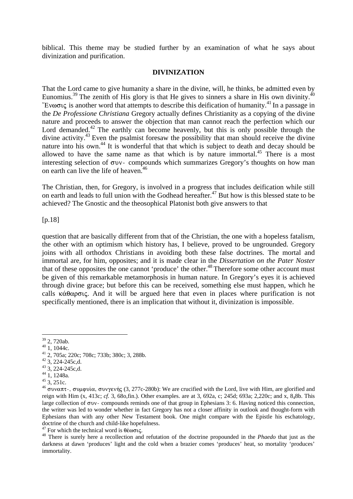biblical. This theme may be studied further by an examination of what he says about divinization and purification.

#### **DIVINIZATION**

That the Lord came to give humanity a share in the divine, will, he thinks, be admitted even by Eunomius.<sup>39</sup> The zenith of His glory is that He gives to sinners a share in His own divinity.<sup>40</sup> "Ev $\omega$  $\sigma$ <sub>ks</sub> is another word that attempts to describe this deification of humanity.<sup>41</sup> In a passage in the *De Professione Christiana* Gregory actually defines Christianity as a copying of the divine nature and proceeds to answer the objection that man cannot reach the perfection which our Lord demanded.<sup>42</sup> The earthly can become heavenly, but this is only possible through the divine activity.<sup>43</sup> Even the psalmist foresaw the possibility that man should receive the divine nature into his own.<sup>44</sup> It is wonderful that that which is subject to death and decay should be allowed to have the same name as that which is by nature immortal.<sup>45</sup> There is a most interesting selection of  $\sigma$ v $\cdot$ - compounds which summarizes Gregory's thoughts on how man on earth can live the life of heaven.<sup>46</sup>

The Christian, then, for Gregory, is involved in a progress that includes deification while still on earth and leads to full union with the Godhead hereafter.<sup>47</sup> But how is this blessed state to be achieved? The Gnostic and the theosophical Platonist both give answers to that

[p.18]

question that are basically different from that of the Christian, the one with a hopeless fatalism, the other with an optimism which history has, I believe, proved to be ungrounded. Gregory joins with all orthodox Christians in avoiding both these false doctrines. The mortal and immortal are, for him, opposites; and it is made clear in the *Dissertation on the Pater Noster* that of these opposites the one cannot 'produce' the other.<sup>48</sup> Therefore some other account must be given of this remarkable metamorphosis in human nature. In Gregory's eyes it is achieved through divine grace; but before this can be received, something else must happen, which he calls  $\kappa \dot{\alpha} \theta \alpha \rho \sigma \iota \varsigma$ . And it will be argued here that even in places where purification is not specifically mentioned, there is an implication that without it, divinization is impossible.

 $39$  2, 720ab.

 $40$  1, 1044c.

<sup>41 2, 705</sup>a; 220c; 708c; 733b; 380c; 3, 288b.

 $42$  3, 224-245c,d.

 $43\,3, 224-245c,d.$ 

 $^{44}$  1, 1248a.<br> $^{45}$  3, 251c.

<sup>&</sup>lt;sup>46</sup> συναπτ-, συμφυία, συνγενής (3, 277c-280b): We are crucified with the Lord, live with Him, are glorified and reign with Him (x, 413c; *cf.* 3, 68o,fin.). Other examples. are at 3, 692a, c; 245d; 693a; 2,220c; and x, 848b. This large collection of  $\sigma$  v - compounds reminds one of that group in Ephesians 3: 6. Having noticed this connection, the writer was led to wonder whether in fact Gregory has not a closer affinity in outlook and thought-form with Ephesians than with any other New Testament book. One might compare with the Epistle his eschatology, doctrine of the church and child-like hopefulness.

<sup>&</sup>lt;sup>47</sup> For which the technical word is  $\theta \leq \infty$ ,  $\frac{48}{18}$  There is surely here a recollection and refutation of the doctrine propounded in the *Phaedo* that just as the darkness at dawn 'produces' light and the cold when a brazier comes 'produces' heat, so mortality 'produces' immortality.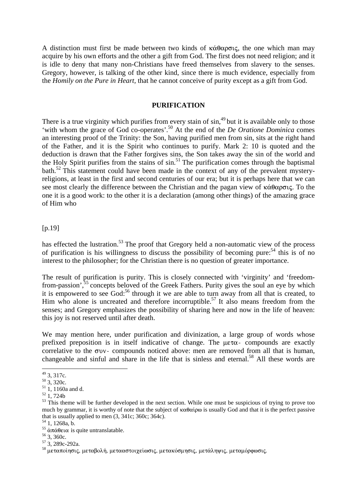A distinction must first be made between two kinds of  $\kappa \dot{\alpha} \theta \alpha \rho \sigma \iota \zeta$ , the one which man may acquire by his own efforts and the other a gift from God. The first does not need religion; and it is idle to deny that many non-Christians have freed themselves from slavery to the senses. Gregory, however, is talking of the other kind, since there is much evidence, especially from the *Homily on the Pure in Heart,* that he cannot conceive of purity except as a gift from God.

#### **PURIFICATION**

There is a true virginity which purifies from every stain of  $sin<sup>49</sup>$  but it is available only to those 'with whom the grace of God co-operates'.50 At the end of the *De Oratione Dominica* comes an interesting proof of the Trinity: the Son, having purified men from sin, sits at the right hand of the Father, and it is the Spirit who continues to purify. Mark 2: 10 is quoted and the deduction is drawn that the Father forgives sins, the Son takes away the sin of the world and the Holy Spirit purifies from the stains of  $\sin$ <sup>51</sup>. The purification comes through the baptismal bath.<sup>52</sup> This statement could have been made in the context of any of the prevalent mysteryreligions, at least in the first and second centuries of our era; but it is perhaps here that we can see most clearly the difference between the Christian and the pagan view of  $\kappa \dot{\alpha} \theta \alpha \rho \sigma \iota \varsigma$ . To the one it is a good work: to the other it is a declaration (among other things) of the amazing grace of Him who

#### [p.19]

has effected the lustration.<sup>53</sup> The proof that Gregory held a non-automatic view of the process of purification is his willingness to discuss the possibility of becoming pure:<sup>54</sup> this is of no interest to the philosopher; for the Christian there is no question of greater importance.

The result of purification is purity. This is closely connected with 'virginity' and 'freedomfrom-passion',<sup>55</sup> concepts beloved of the Greek Fathers. Purity gives the soul an eye by which it is empowered to see God:<sup>56</sup> through it we are able to turn away from all that is created, to Him who alone is uncreated and therefore incorruptible.<sup>57</sup> It also means freedom from the senses; and Gregory emphasizes the possibility of sharing here and now in the life of heaven: this joy is not reserved until after death.

We may mention here, under purification and divinization, a large group of words whose prefixed preposition is in itself indicative of change. The  $\mu \in \alpha$ - compounds are exactly correlative to the  $\sigma$ v $\cdot$ - compounds noticed above: men are removed from all that is human, changeable and sinful and share in the life that is sinless and eternal.<sup>58</sup> All these words are

 $49$  3, 317c.

 $50\,3,320c.$ 

 $51$ , 1, 1160a and d.

 $52 \overline{1}$ , 724b

<sup>&</sup>lt;sup>53</sup> This theme will be further developed in the next section. While one must be suspicious of trying to prove too much by grammar, it is worthy of note that the subject of  $\kappa \alpha \theta \alpha$  is usually God and that it is the perfect passive that is usually applied to men (3*,* 341c; 360c; 364c). 54 1, 1268a, b.

<sup>&</sup>lt;sup>55</sup> άπάθεια is quite untranslatable.<br><sup>56</sup> 3, 360c.

 $57\overline{3}$ , 289c-292a.

 $^{58}$  μεταποίησις, μεταβολή, μετααστοιχείωσις, μετακόσμησις, μετάληψις, μεταμόρφωσις.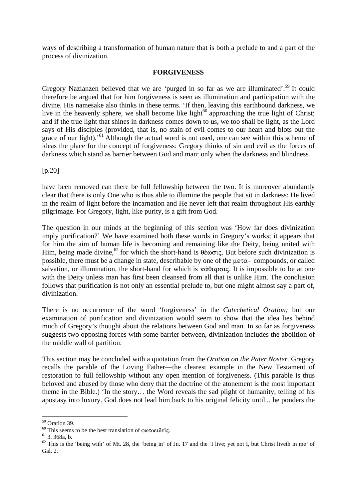ways of describing a transformation of human nature that is both a prelude to and a part of the process of divinization.

#### **FORGIVENESS**

Gregory Nazianzen believed that we are 'purged in so far as we are illuminated'.<sup>59</sup> It could therefore be argued that for him forgiveness is seen as illumination and participation with the divine. His namesake also thinks in these terms. 'If then, leaving this earthbound darkness, we live in the heavenly sphere, we shall become like light $60$  approaching the true light of Christ; and if the true light that shines in darkness comes down to us, we too shall be light, as the Lord says of His disciples (provided, that is, no stain of evil comes to our heart and blots out the grace of our light).<sup>'61</sup> Although the actual word is not used, one can see within this scheme of ideas the place for the concept of forgiveness: Gregory thinks of sin and evil as the forces of darkness which stand as barrier between God and man: only when the darkness and blindness

[p.20]

have been removed can there be full fellowship between the two. It is moreover abundantly clear that there is only One who is thus able to illumine the people that sit in darkness: He lived in the realm of light before the incarnation and He never left that realm throughout His earthly pilgrimage. For Gregory, light, like purity, is a gift from God.

The question in our minds at the beginning of this section was 'How far does divinization imply purification?' We have examined both these words in Gregory's works; it appears that for him the aim of human life is becoming and remaining like the Deity, being united with Him, being made divine, <sup>62</sup> for which the short-hand is  $\theta \neq \infty$ , But before such divinization is possible, there must be a change in state, describable by one of the  $\mu \epsilon \tau \alpha$ - compounds, or called salvation, or illumination, the short-hand for which is  $\kappa \alpha \theta \alpha \rho \sigma \iota \varsigma$ . It is impossible to be at one with the Deity unless man has first been cleansed from all that is unlike Him. The conclusion follows that purification is not only an essential prelude to, but one might almost say a part of, divinization.

There is no occurrence of the word 'forgiveness' in the *Catechetical Oration;* but our examination of purification and divinization would seem to show that the idea lies behind much of Gregory's thought about the relations between God and man. In so far as forgiveness suggests two opposing forces with some barrier between, divinization includes the abolition of the middle wall of partition.

This section may be concluded with a quotation from the *Oration on the Pater Noster.* Gregory recalls the parable of the Loving Father—the clearest example in the New Testament of restoration to full fellowship without any open mention of forgiveness. (This parable is thus beloved and abused by those who deny that the doctrine of the atonement is the most important theme in the Bible.) 'In the story… the Word reveals the sad plight of humanity, telling of his apostasy into luxury. God does not lead him back to his original felicity until... he ponders the

 $\overline{a}$ 59 Oration 39.

<sup>&</sup>lt;sup>60</sup> This seems to be the best translation of φωτοειδείς.<br><sup>61</sup> 3, 368a, b.

 $62$  This is the 'being with' of Mt. 28, the 'being in' of Jn. 17 and the 'I live; yet not I, but Christ liveth in me' of Gal. 2.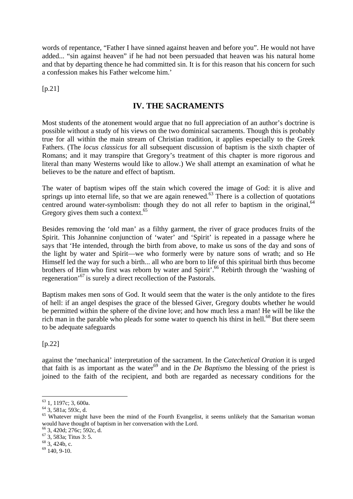words of repentance, "Father I have sinned against heaven and before you". He would not have added... "sin against heaven" if he had not been persuaded that heaven was his natural home and that by departing thence he had committed sin. It is for this reason that his concern for such a confession makes his Father welcome him.'

 $[p.21]$ 

## **IV. THE SACRAMENTS**

Most students of the atonement would argue that no full appreciation of an author's doctrine is possible without a study of his views on the two dominical sacraments. Though this is probably true for all within the main stream of Christian tradition, it applies especially to the Greek Fathers. (The *locus classicus* for all subsequent discussion of baptism is the sixth chapter of Romans; and it may transpire that Gregory's treatment of this chapter is more rigorous and literal than many Westerns would like to allow.) We shall attempt an examination of what he believes to be the nature and effect of baptism.

The water of baptism wipes off the stain which covered the image of God: it is alive and springs up into eternal life, so that we are again renewed.<sup>63</sup> There is a collection of quotations centred around water-symbolism: though they do not all refer to baptism in the original, $64$ Gregory gives them such a context.<sup>65</sup>

Besides removing the 'old man' as a filthy garment, the river of grace produces fruits of the Spirit. This Johannine conjunction of 'water' and 'Spirit' is repeated in a passage where he says that 'He intended, through the birth from above, to make us sons of the day and sons of the light by water and Spirit—we who formerly were by nature sons of wrath; and so He Himself led the way for such a birth... all who are born to life of this spiritual birth thus become brothers of Him who first was reborn by water and Spirit'.<sup>66</sup> Rebirth through the 'washing of regeneration'67 is surely a direct recollection of the Pastorals.

Baptism makes men sons of God. It would seem that the water is the only antidote to the fires of hell: if an angel despises the grace of the blessed Giver, Gregory doubts whether he would be permitted within the sphere of the divine love; and how much less a man! He will be like the rich man in the parable who pleads for some water to quench his thirst in hell.<sup>68</sup> But there seem to be adequate safeguards

[p.22]

against the 'mechanical' interpretation of the sacrament. In the *Catechetical Oration* it is urged that faith is as important as the water<sup>69</sup> and in the *De Baptismo* the blessing of the priest is joined to the faith of the recipient, and both are regarded as necessary conditions for the

 $\overline{a}$ <sup>63</sup> 1, 1197c; 3, 600a.

 $^{64}$  3, 581a; 593c, d.

<sup>&</sup>lt;sup>65</sup> Whatever might have been the mind of the Fourth Evangelist, it seems unlikely that the Samaritan woman would have thought of baptism in her conversation with the Lord.

<sup>66 3, 420</sup>d; 276c; 592c, d.

 $\frac{67}{68}$  3, 583a; Titus 3: 5.<br>  $\frac{68}{3}$ , 424b, c.

 $69$  140, 9-10.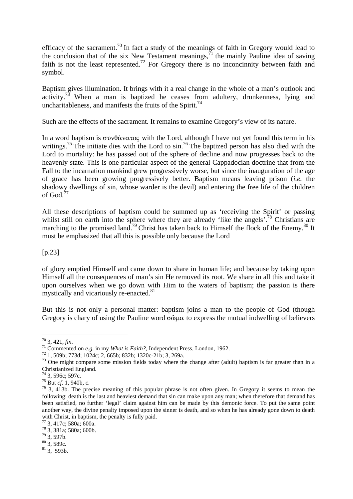efficacy of the sacrament.<sup>70</sup> In fact a study of the meanings of faith in Gregory would lead to the conclusion that of the six New Testament meanings,  $\bar{p}$  the mainly Pauline idea of saving faith is not the least represented.<sup>72</sup> For Gregory there is no inconcinnity between faith and symbol.

Baptism gives illumination. It brings with it a real change in the whole of a man's outlook and activity.<sup>73</sup> When a man is baptized he ceases from adultery, drunkenness, lying and uncharitableness, and manifests the fruits of the Spirit.<sup>74</sup>

Such are the effects of the sacrament. It remains to examine Gregory's view of its nature.

In a word baptism is  $\sigma \nu \theta \acute{\alpha} \nu \alpha \tau \circ \varsigma$  with the Lord, although I have not yet found this term in his writings.<sup>75</sup> The initiate dies with the Lord to sin.<sup>76</sup> The baptized person has also died with the Lord to mortality: he has passed out of the sphere of decline and now progresses back to the heavenly state. This is one particular aspect of the general Cappadocian doctrine that from the Fall to the incarnation mankind grew progressively worse, but since the inauguration of the age of grace has been growing progressively better. Baptism means leaving prison (*i.e.* the shadowy dwellings of sin, whose warder is the devil) and entering the free life of the children of God.<sup>77</sup>

All these descriptions of baptism could be summed up as 'receiving the Spirit' or passing whilst still on earth into the sphere where they are already 'like the angels'.<sup>78</sup> Christians are marching to the promised land.<sup>79</sup> Christ has taken back to Himself the flock of the Enemy.<sup>80</sup> It must be emphasized that all this is possible only because the Lord

 $[p.23]$ 

of glory emptied Himself and came down to share in human life; and because by taking upon Himself all the consequences of man's sin He removed its root. We share in all this and take it upon ourselves when we go down with Him to the waters of baptism; the passion is there mystically and vicariously re-enacted. $81$ 

But this is not only a personal matter: baptism joins a man to the people of God (though Gregory is chary of using the Pauline word  $\sigma \hat{\omega} \mu \alpha$  to express the mutual indwelling of believers

 $\overline{a}$ 

<sup>&</sup>lt;sup>70</sup> 3, 421, *fin.*<br><sup>71</sup> Commented on *e.g.* in my *What is Faith?*, Independent Press, London, 1962.<br><sup>72</sup> 1, 509b; 773d; 1024c; 2, 665b; 832b; 1320c-21b; 3, 269a.<br><sup>73</sup> One might compare some mission fields today where th Christianized England.

 $74$  3, 596c; 597c.

<sup>&</sup>lt;sup>75</sup> But *cf*. 1, 940b, c.<br><sup>76</sup> 3, 413b. The precise meaning of this popular phrase is not often given. In Gregory it seems to mean the following: death is the last and heaviest demand that sin can make upon any man; when therefore that demand has been satisfied, no further 'legal' claim against him can be made by this demonic force. To put the same point another way, the divine penalty imposed upon the sinner is death, and so when he has already gone down to death with Christ, in baptism, the penalty is fully paid.

<sup>77 3, 417</sup>c; 580a; 600a.

<sup>78 3, 381</sup>a; 580a; 600b.

 $79$  3, 597b.

 $80$  3, 589c.

 $81$  3, 593b.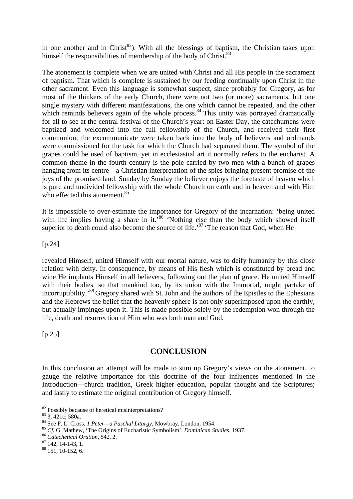in one another and in Christ<sup>82</sup>). With all the blessings of baptism, the Christian takes upon himself the responsibilities of membership of the body of Christ.<sup>83</sup>

The atonement is complete when we are united with Christ and all His people in the sacrament of baptism. That which is complete is sustained by our feeding continually upon Christ in the other sacrament. Even this language is somewhat suspect, since probably for Gregory, as for most of the thinkers of the early Church, there were not two (or more) sacraments, but one single mystery with different manifestations, the one which cannot be repeated, and the other which reminds believers again of the whole process.<sup>84</sup> This unity was portrayed dramatically for all to see at the central festival of the Church's year: on Easter Day, the catechumens were baptized and welcomed into the full fellowship of the Church, and received their first communion; the excommunicate were taken back into the body of believers and ordinands were commissioned for the task for which the Church had separated them. The symbol of the grapes could be used of baptism, yet in ecclesiastial art it normally refers to the eucharist. A common theme in the fourth century is the pole carried by two men with a bunch of grapes hanging from its centre—a Christian interpretation of the spies bringing present promise of the joys of the promised land. Sunday by Sunday the believer enjoys the foretaste of heaven which is pure and undivided fellowship with the whole Church on earth and in heaven and with Him who effected this atonement.<sup>85</sup>

It is impossible to over-estimate the importance for Gregory of the incarnation: 'being united with life implies having a share in it.<sup>586</sup> 'Nothing else than the body which showed itself superior to death could also become the source of life.<sup>87</sup> The reason that God, when He

[p.24]

revealed Himself, united Himself with our mortal nature, was to deify humanity by this close relation with deity. In consequence, by means of His flesh which is constituted by bread and wine He implants Himself in all believers, following out the plan of grace. He united Himself with their bodies, so that mankind too, by its union with the Immortal, might partake of incorruptibility.'88 Gregory shared with St. John and the authors of the Epistles to the Ephesians and the Hebrews the belief that the heavenly sphere is not only superimposed upon the earthly, but actually impinges upon it. This is made possible solely by the redemption won through the life, death and resurrection of Him who was both man and God.

[p.25]

 $\overline{a}$ 

## **CONCLUSION**

In this conclusion an attempt will be made to sum up Gregory's views on the atonement, to gauge the relative importance for this doctrine of the four influences mentioned in the Introduction—church tradition, Greek higher education, popular thought and the Scriptures; and lastly to estimate the original contribution of Gregory himself.

 $82$  Possibly because of heretical misinterpretations?<br> $83$  3, 421c; 580a.

<sup>&</sup>lt;sup>83</sup> 3, 421c; 580a.<br><sup>84</sup> See F. L. Cross, *1 Peter—a Paschal Liturgy*, Mowbray, London, 1954.<br><sup>85</sup> Cf. G. Mathew, 'The Origins of Eucharistic Symbolism', *Dominican Studies*, 1937.<br><sup>86</sup> Catechetical Oration, 542, 2.<br><sup>87</sup>

<sup>88 151, 10-152, 6.</sup>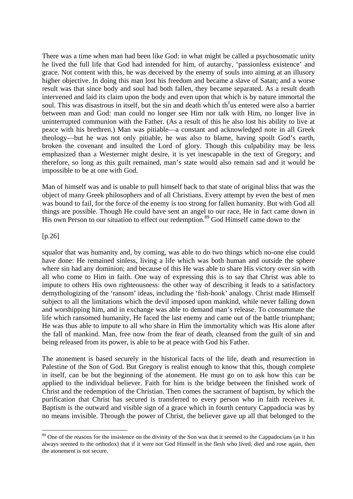There was a time when man had been like God: in what might be called a psychosomatic unity he lived the full life that God had intended for him, of autarchy, 'passionless existence' and grace. Not content with this, he was deceived by the enemy of souls into aiming at an illusory higher objective. In doing this man lost his freedom and became a slave of Satan; and a worse result was that since body and soul had both fallen, they became separated. As a result death intervened and laid its claim upon the body and even upon that which is by nature immortal the soul. This was disastrous in itself, but the sin and death which th<sup>1</sup>us entered were also a barrier between man and God: man could no longer see Him nor talk with Him, no longer live in uninterrupted communion with the Father. (As a result of this he also lost his ability to live at peace with his brethren.) Man was pitiable—a constant and acknowledged note in all Greek theology—but he was not only pitiable, he was also to blame, having spoilt God's earth, broken the covenant and insulted the Lord of glory. Though this culpability may be less emphasized than a Westerner might desire, it is yet inescapable in the text of Gregory; and therefore, so long as this guilt remained, man's state would also remain sad and it would be impossible to be at one with God.

Man of himself was and is unable to pull himself back to that state of original bliss that was the object of many Greek philosophers and of all Christians. Every attempt by even the best of men was bound to fail, for the force of the enemy is too strong for fallen humanity. But with God all things are possible. Though He could have sent an angel to our race, He in fact came down in His own Person to our situation to effect our redemption.<sup>89</sup> God Himself came down to the

#### [p.26]

 $\overline{a}$ 

squalor that was humanity and, by coming, was able to do two things which no-one else could have done: He remained sinless, living a life which was both human and outside the sphere where sin had any dominion; and because of this He was able to share His victory over sin with all who come to Him in faith. One way of expressing this is to say that Christ was able to impute to others His own righteousness: the other way of describing it leads to a satisfactory demythologizing of the 'ransom' ideas, including the 'fish-hook' analogy. Christ made Himself subject to all the limitations which the devil imposed upon mankind, while never falling down and worshipping him, and in exchange was able to demand man's release. To consummate the life which ransomed humanity, He faced the last enemy and came out of the battle triumphant; He was thus able to impute to all who share in Him the immortality which was His alone after the fall of mankind. Man, free now from the fear of death, cleansed from the guilt of sin and being released from its power, is able to be at peace with God his Father.

The atonement is based securely in the historical facts of the life, death and resurrection in Palestine of the Son of God. But Gregory is realist enough to know that this, though complete in itself, can be but the beginning of the atonement. He must go on to ask how this can be applied to the individual believer. Faith for him is the bridge between the finished work of Christ and the redemption of the Christian. Then comes the sacrament of baptism, by which the purification that Christ has secured is transferred to every person who in faith receives it. Baptism is the outward and visible sign of a grace which in fourth century Cappadocia was by no means invisible. Through the power of Christ, the believer gave up all that belonged to the

<sup>&</sup>lt;sup>89</sup> One of the reasons for the insistence on the divinity of the Son was that it seemed to the Cappadocians (as it has always seemed to the orthodox) that if it were not God Himself in the flesh who lived, died and rose again, then the atonement is not secure.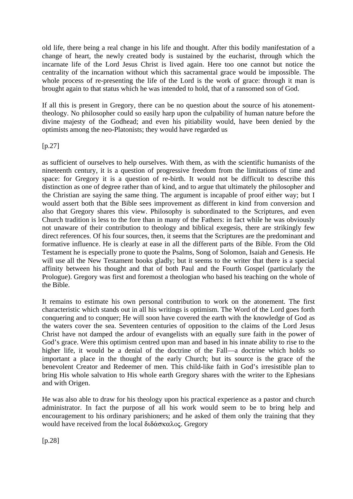old life, there being a real change in his life and thought. After this bodily manifestation of a change of heart, the newly created body is sustained by the eucharist, through which the incarnate life of the Lord Jesus Christ is lived again. Here too one cannot but notice the centrality of the incarnation without which this sacramental grace would be impossible. The whole process of re-presenting the life of the Lord is the work of grace: through it man is brought again to that status which he was intended to hold, that of a ransomed son of God.

If all this is present in Gregory, there can be no question about the source of his atonementtheology. No philosopher could so easily harp upon the culpability of human nature before the divine majesty of the Godhead; and even his pitiability would, have been denied by the optimists among the neo-Platonists; they would have regarded us

[p.27]

as sufficient of ourselves to help ourselves. With them, as with the scientific humanists of the nineteenth century, it is a question of progressive freedom from the limitations of time and space: for Gregory it is a question of re-birth. It would not be difficult to describe this distinction as one of degree rather than of kind, and to argue that ultimately the philosopher and the Christian are saying the same thing. The argument is incapable of proof either way; but I would assert both that the Bible sees improvement as different in kind from conversion and also that Gregory shares this view. Philosophy is subordinated to the Scriptures, and even Church tradition is less to the fore than in many of the Fathers: in fact while he was obviously not unaware of their contribution to theology and biblical exegesis, there are strikingly few direct references. Of his four sources, then, it seems that the Scriptures are the predominant and formative influence. He is clearly at ease in all the different parts of the Bible. From the Old Testament he is especially prone to quote the Psalms, Song of Solomon, Isaiah and Genesis. He will use all the New Testament books gladly; but it seems to the writer that there is a special affinity between his thought and that of both Paul and the Fourth Gospel (particularly the Prologue). Gregory was first and foremost a theologian who based his teaching on the whole of the Bible.

It remains to estimate his own personal contribution to work on the atonement. The first characteristic which stands out in all his writings is optimism. The Word of the Lord goes forth conquering and to conquer; He will soon have covered the earth with the knowledge of God as the waters cover the sea. Seventeen centuries of opposition to the claims of the Lord Jesus Christ have not damped the ardour of evangelists with an equally sure faith in the power of God's grace. Were this optimism centred upon man and based in his innate ability to rise to the higher life, it would be a denial of the doctrine of the Fall—a doctrine which holds so important a place in the thought of the early Church; but its source is the grace of the benevolent Creator and Redeemer of men. This child-like faith in God's irresistible plan to bring His whole salvation to His whole earth Gregory shares with the writer to the Ephesians and with Origen.

He was also able to draw for his theology upon his practical experience as a pastor and church administrator. In fact the purpose of all his work would seem to be to bring help and encouragement to his ordinary parishioners; and he asked of them only the training that they would have received from the local διδάσκαλος. Gregory

[p.28]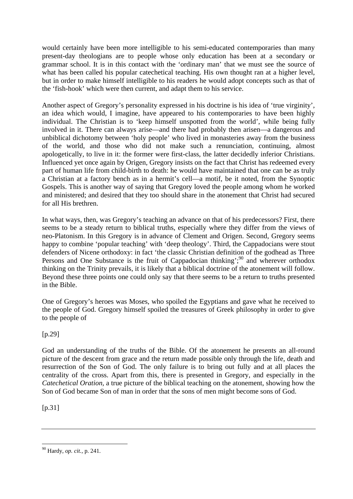would certainly have been more intelligible to his semi-educated contemporaries than many present-day theologians are to people whose only education has been at a secondary or grammar school. It is in this contact with the 'ordinary man' that we must see the source of what has been called his popular catechetical teaching. His own thought ran at a higher level, but in order to make himself intelligible to his readers he would adopt concepts such as that of the 'fish-hook' which were then current, and adapt them to his service.

Another aspect of Gregory's personality expressed in his doctrine is his idea of 'true virginity', an idea which would, I imagine, have appeared to his contemporaries to have been highly individual. The Christian is to 'keep himself unspotted from the world', while being fully involved in it. There can always arise—and there had probably then arisen—a dangerous and unbiblical dichotomy between 'holy people' who lived in monasteries away from the business of the world, and those who did not make such a renunciation, continuing, almost apologetically, to live in it: the former were first-class, the latter decidedly inferior Christians. Influenced yet once again by Origen, Gregory insists on the fact that Christ has redeemed every part of human life from child-birth to death: he would have maintained that one can be as truly a Christian at a factory bench as in a hermit's cell—a motif, be it noted, from the Synoptic Gospels. This is another way of saying that Gregory loved the people among whom he worked and ministered; and desired that they too should share in the atonement that Christ had secured for all His brethren.

In what ways, then, was Gregory's teaching an advance on that of his predecessors? First, there seems to be a steady return to biblical truths, especially where they differ from the views of neo-Platonism. In this Gregory is in advance of Clement and Origen. Second, Gregory seems happy to combine 'popular teaching' with 'deep theology'. Third, the Cappadocians were stout defenders of Nicene orthodoxy: in fact 'the classic Christian definition of the godhead as Three Persons and One Substance is the fruit of Cappadocian thinking'; $90$  and wherever orthodox thinking on the Trinity prevails, it is likely that a biblical doctrine of the atonement will follow. Beyond these three points one could only say that there seems to be a return to truths presented in the Bible.

One of Gregory's heroes was Moses, who spoiled the Egyptians and gave what he received to the people of God. Gregory himself spoiled the treasures of Greek philosophy in order to give to the people of

[p.29]

God an understanding of the truths of the Bible. Of the atonement he presents an all-round picture of the descent from grace and the return made possible only through the life, death and resurrection of the Son of God. The only failure is to bring out fully and at all places the centrality of the cross. Apart from this, there is presented in Gregory, and especially in the *Catechetical Oration,* a true picture of the biblical teaching on the atonement, showing how the Son of God became Son of man in order that the sons of men might become sons of God.

 $[p.31]$ 

<sup>90</sup> Hardy, *op. cit.,* p. 241.